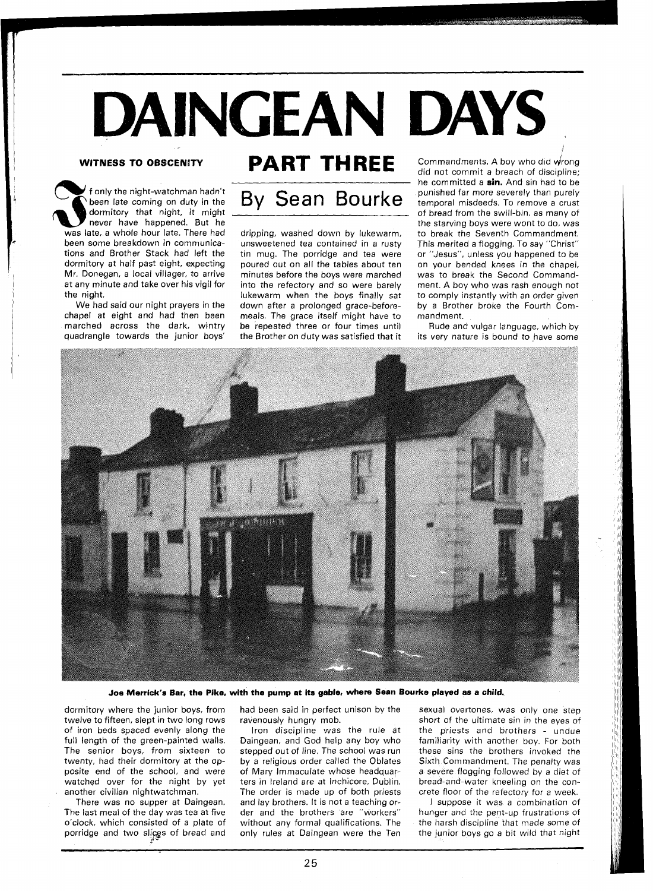## DAINGEAN DAYS

## **WITNESS TO OBSCENITY**

f only the night-watchman hadn't been late coming on duty in the dormitory that night, it might never have happened. But he was late, a whole hour late. There had been some breakdown in communications and Brother Stack had left the dormitory at half past eight, expecting Mr. Donegan, a local villager, to arrive at any minute and take over his vigil for the night.

We had said our night prayers in the chapel at eight and had then been marched across the dark, wintry quadrangle towards the junior boys'



dripping, washed down by lukewarm, unsweetened tea contained in a rusty tin mug. The porridge and tea were poured out on all the tables about ten minutes before the boys were marched into the refectory and so were barely lukewarm when the boys finally sat down after a prolonged grace-beforemeals. The grace itself might have to be repeated three or four times until the Brother on duty was satisfied that it

**PART THREE** Commandments. A boy who did wrong did not commit a breach of discipline; he committed a **sin.** And sin had to be punished far more severely than purely temporal misdeeds. To remove a crust of bread from the swill-bin, as many of the starving boys were wont to do, was to break the Seventh Commandment. This merited a flogging. To say "Christ" or "Jesus", unless you happened to be on your bended knees in the chapel, was to break the Second Commandment. A boy who was rash enough not to comply instantly with an order given by a Brother broke the Fourth Commandment.

> Rude and vulgar language, which by its very nature is bound to have some



Joe Merrick's Bar, the Pike, with the pump at its gable, where Sean Bourke played as a child.

dormitory where the junior boys, from twelve to fifteen, slept in two long rows of iron beds spaced evenly along the full length of the green-painted walls. The senior boys, from sixteen to twenty, had their dormitory at the opposite end of the school, and were watched over for the night by yet another civilian nightwatchman.

There was no supper at Daingean. The last meal of the day was tea at five o'clock, which consisted of a plate of porridge and two slices of bread and had been said in perfect unison by the ravenously hungry mob.

Iron discipline was the rule at Daingean, and God help any boy who stepped out of line. The school was run by a religious order called the Oblates of Mary Immaculate whose headquarters in Ireland are at Inchicore, Dublin. The order is made up of both priests and lay brothers. It is not a teaching order and the brothers are "workers" without any formal qualifications. The only rules at Daingean were the Ten

sexual overtones, was only one step short of the ultimate sin in the eyes of the priests and brothers - undue familiarity with another boy. For both these sins the brothers invoked the Sixth Commandment. The penalty was a severe flogging followed by a diet of bread-and-water kneeling on the concrete floor of the refectory for a week.

I suppose it was a combination of hunger and the pent-up frustrations of the harsh discipline that made some of the junior boys go a bit wild that night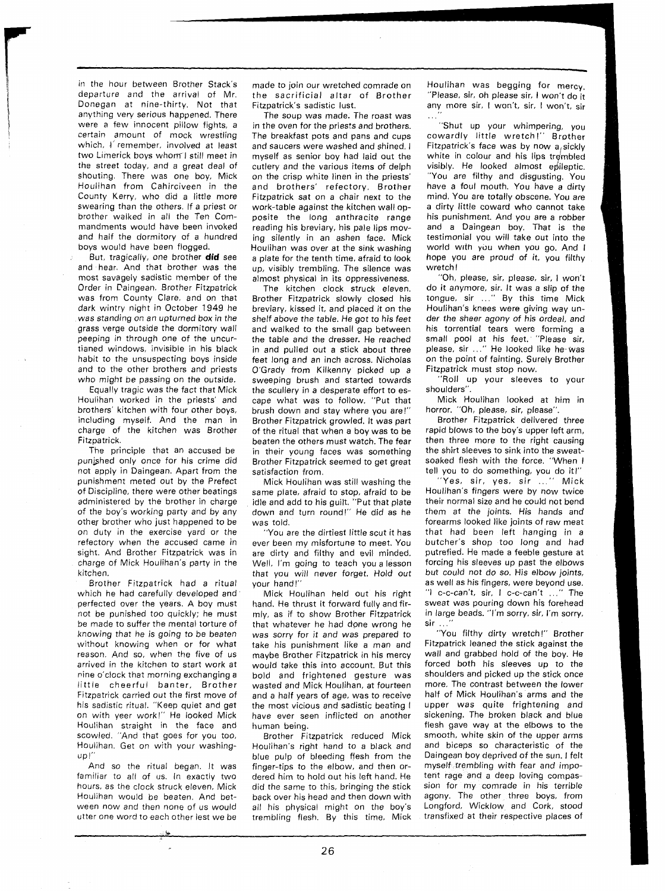in the hour between Brother Stack's departure and the arrival of Mr. Donegan at nine-thirty. Not that anything very serious happened. There were a few innocent pillow fights, a certain amount of mock wrestling which, I remember, involved at least two Limerick boys whom1 still meet in the street today, and a great deal of shouting. There was one boy, Mick Houlihan from Cahirciveen in the County Kerry, who did a little more swearing than the others. If a priest or brother walked in all the Ten Commandments would have been invoked and half the dormitory of a hundred boys would have been flogged.

But, tragically, one brother **did** see and hear. And that brother was the most savagely sadistic member of the Order in Paingean. Brother Fitzpatrick was from County Clare, and on that dark wintry night in October 1949 he was standing on an upturned box in the grass verge outside the dormitory wall peeping in through one of the uncurtianed windows, invisible in his black habit to the unsuspecting boys inside and to the other brothers and priests who might be passing on the outside.

Equally tragic was the fact that Mick Houlihan worked in the priests' and brothers' kitchen with four other boys, including myself. And the man in charge of the kitchen was Brother Fitzpatrick.

The principle that an accused be punished only once for his crime did not apply in Daingean. Apart from the punishment meted out by the Prefect of Discipline, there were other beatings administered by the brother in charge of the boy's working party and by any other brother who just happened to be on duty in the exercise yard or the refectory when the accused came in sight. And Brother Fitzpatrick was in charge of Mick Houlihan's party in the kitchen.

Brother Fitzpatrick had a ritual which he had carefully developed and perfected over the years. A boy must not be punished too quickly; he must be made to suffer the mental torture of knowing that he is going to be beaten without knowing when or for what reason. And so, when the five of us arrived in the kitchen to start work at nine o'clock that morning exchanging a little cheerful banter, Brother Fitzpatrick carried out the first move of his sadistic ritual. "Keep quiet and get on with yeer work!" He looked Mick Houlihan straight in the face and scowled. "And that goes for you too, Houlihan. Get on with your washingup l"

And so the ritual began. It was familiar to all of us. In exactly two hours, as the clock struck eleven. Mick Houlihan would be beaten. And between now and then none of us would utter one word to each other lest we be made to join our wretched comrade on the sacrificial altar of Brother Fitzpatrick's sadistic lust.

The soup was made. The roast was in the oven for the priests and brothers. The breakfast pots and pans and cups and saucers were washed and shined. I myself as senior boy had laid out the cutlery and the various items of delph on the crisp white linen in the priests' and brothers' refectory. Brother Fitzpatrick sat on a chair next to the work-table against the kitchen wall opposite the long anthracite range reading his breviary, his pale lips moving silently in an ashen face. Mick Houlihan was over at the sink washing a plate for the tenth time, afraid to look up, visibly trembling. The silence was almost physical in its oppressiveness.

The kitchen clock struck eleven. Brother Fitzpatrick slowly closed his breviary, kissed it, and placed it on the shelf above the table. He got to his feet and walked to the small gap between the table and the dresser. He reached in and pulled out a stick about three feet long and an inch across. Nicholas O'Grady from Kilkenny picked up a sweeping brush and started towards the scullery in a desperate effort to escape what was to follow. "Put that brush down and stay where you are!" Brother Fitzpatrick growled. It was part of the ritual that when a boy was to be beaten the others must watch. The fear in their young faces was something Brother Fitzpatrick seemed to get great satisfaction from.

Mick Houlihan was still washing the same plate, afraid to stop, afraid to be idle and add to his guilt. "Put that plate down and turn round!" He did as he was told.

"You are the dirtiest little scut it has ever been my misfortune to meet. You are dirty and filthy and evil minded. Well, I'm going to teach you a lesson that you will never forget. Hold out your hand!"

Mick Houlihan held out his right hand. He thrust it forward fully and firmly, as if to show Brother Fitzpatrick that whatever he had done wrong he was sorry for it and was prepared to take his punishment like a man and maybe Brother Fitzpatrick in his mercy would take this into account. But this bold and frightened gesture was wasted and Mick Houlihan, at fourteen and a half years of age. was to receive the most vicious and sadistic beating I have ever seen inflicted on another human being.

Brother Fitzpatrick reduced Mick Houlihan's right hand to a black and blue pulp of bleeding flesh from the finger-tips to the elbow, and then ordered him to hold out his left hand. He did the same to this, bringing the stick back over his head and then down with all his physical might on the boy's trembling flesh. By this time, Mick

Houlihan was begging for mercy. "Please, sir, oh please sir, I won't do it any more sir, I won't, sir, I won't, sir . . .

"Shut up your whimpering, you cowardly little wretch!" Brother Fitzpatrick's face was by now  $a_i$ sickly white in colour and his lips trembled visibly. He looked almost epileptic. "You are filthy and disgusting. You have a foul mouth. You have a dirty mind. You are totally obscene. You are a dirty little coward who cannot take his punishment. And you are a robber and a Daingean boy. That is the testimonial you will take out into the world with you when you go. And I hope you are proud of it, you filthy wretch !

"Oh, please, sir, please, sir, I won't do it anymore, sir. It was a slip of the tongue, sir ..." By this time Mick Houlihan's knees were giving way under the sheer agony of his ordeal, and his torrential tears were forming a small pool at his feet. ''Please sir, please, sir ..." He looked like he was on the point of fainting. Surely Brother Fitzpatrick must stop now.

"Roll up your sleeves to your shoulders".

Mick Houlihan looked at him in horror. "Oh, please, sir, please".

Brother Fitzpatrick delivered three rapid blows to the boy's upper left arm, then three more to the right causing the shirt sleeves to sink into the sweatsoaked flesh with the force. "When I tell you to do something, you do it!"

"Yes, sir, yes, sir ..." Mick Houlihan's fingers were by now twice their normal size and he could not bend them at the joints. His hands and forearms looked like joints of raw meat that had been left hanging in a butcher's shop too long and had putrefied. He made a feeble gesture at forcing his sleeves up past the elbows but could not do so. His elbow joints, as well as his fingers, were beyond use. "I c-c-can't, sir, I c-c-can't . . ." The sweat was pouring down his forehead in large beads. "I'm sorry. sir. I'm sorry, sir ..."

"You filthy dirty wretch!" Brother Fitzpatrick leaned the stick against the wall and grabbed hold of the boy. He forced both his sleeves up to the shoulders and picked up the stick once more. The contrast between the lower half of Mick Houlihan's arms and the upper was quite frightening and sickening. The broken black and blue flesh gave way at the elbows to the smooth, white skin of the upper arms and biceps so characteristic of the Daingean boy deprived of the sun. I felt myself trembling with fear and impotent rage and a deep loving compassion for my comrade in his terrible agony. The other three boys, from Longford, Wicklow and Cork, stood transfixed at their respective places of